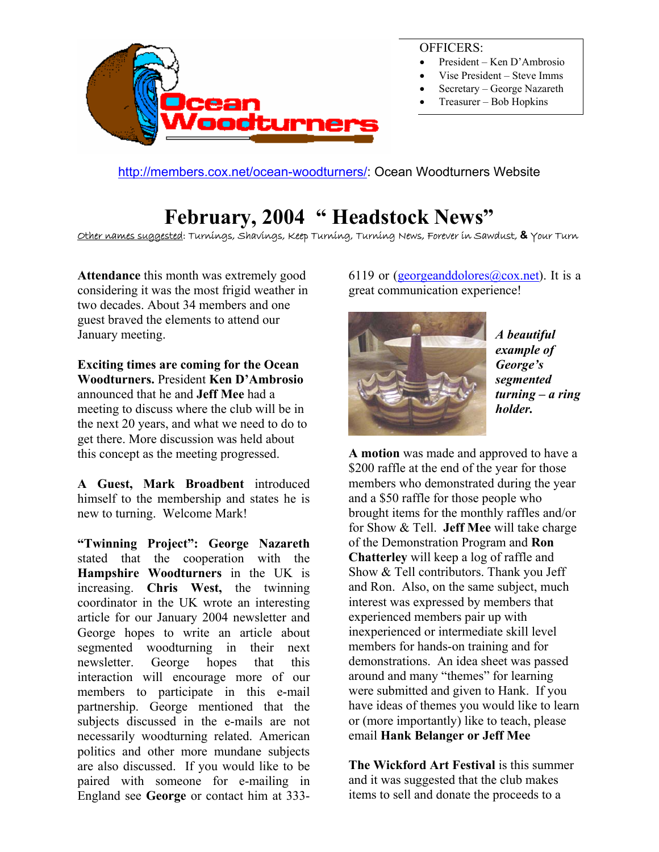

OFFICERS:

- President Ken D'Ambrosio
- Vise President Steve Imms
- Secretary George Nazareth
- Treasurer Bob Hopkins

<http://members.cox.net/ocean-woodturners/>: Ocean Woodturners Website

## **February, 2004 " Headstock News"**

Other names suggested: Turnings, Shavings, Keep Turning, Turning News, Forever in Sawdust, **&** Your Turn

**Attendance** this month was extremely good considering it was the most frigid weather in two decades. About 34 members and one guest braved the elements to attend our January meeting.

**Exciting times are coming for the Ocean Woodturners.** President **Ken D'Ambrosio** announced that he and **Jeff Mee** had a meeting to discuss where the club will be in the next 20 years, and what we need to do to get there. More discussion was held about this concept as the meeting progressed.

**A Guest, Mark Broadbent** introduced himself to the membership and states he is new to turning. Welcome Mark!

**"Twinning Project": George Nazareth** stated that the cooperation with the **Hampshire Woodturners** in the UK is increasing. **Chris West,** the twinning coordinator in the UK wrote an interesting article for our January 2004 newsletter and George hopes to write an article about segmented woodturning in their next newsletter. George hopes that this interaction will encourage more of our members to participate in this e-mail partnership. George mentioned that the subjects discussed in the e-mails are not necessarily woodturning related. American politics and other more mundane subjects are also discussed. If you would like to be paired with someone for e-mailing in England see **George** or contact him at 3336119 or (georgeanddolores $(a)$ cox.net). It is a great communication experience!



*A beautiful example of George's segmented turning – a r ing holder.* 

**A motion** was made and approved to have a \$200 raffle at the end of the year for those members who demonstrated during the year and a \$50 raffle for those people who brought items for the monthly raffles and/or for Show & Tell. **Jeff Mee** will take charge of the Demonstration Program and **Ron Chatterley** will keep a log of raffle and Show & Tell contributors. Thank you Jeff and Ron. Also, on the same subject, much interest was expressed by members that experienced members pair up with inexperienced or intermediate skill level members for hands-on training and for demonstrations. An idea sheet was passed around and many "themes" for learning were submitted and given to Hank. If you have ideas of themes you would like to learn or (more importantly) like to teach, please email **Hank Belanger or Jeff Mee**

**The Wickford Art Festival** is this summer and it was suggested that the club makes items to sell and donate the proceeds to a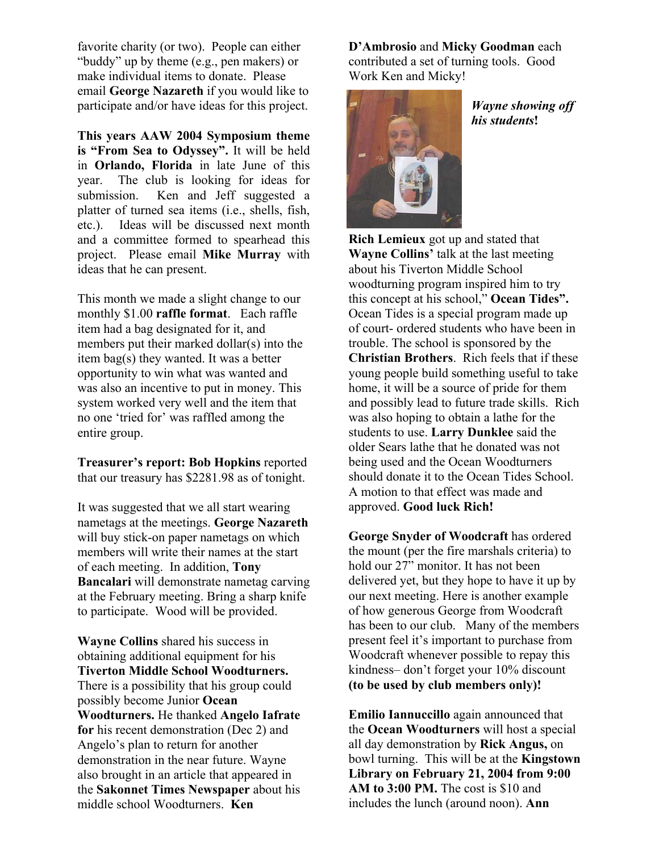favorite charity (or two). People can either "buddy" up by theme (e.g., pen makers) or make individual items to donate. Please email **George Nazareth** if you would like to participate and/or have ideas for this project.

**This years AAW 2004 Symposium theme is "From Sea to Odyssey".** It will be held in **Orlando, Florida** in late June of this year. The club is looking for ideas for submission. Ken and Jeff suggested a platter of turned sea items (i.e., shells, fish, etc.). Ideas will be discussed next month and a committee formed to spearhead this project. Please email **Mike Murray** with ideas that he can present.

This month we made a slight change to our monthly \$1.00 **raffle format**. Each raffle item had a bag designated for it, and members put their marked dollar(s) into the item bag(s) they wanted. It was a better opportunity to win what was wanted and was also an incentive to put in money. This system worked very well and the item that no one 'tried for' was raffled among the entire group.

**Treasurer's report: Bob Hopkins** reported that our treasury has \$2281.98 as of tonight.

It was suggested that we all start wearing nametags at the meetings. **George Nazareth** will buy stick-on paper nametags on which members will write their names at the start of each meeting. In addition, **Tony Bancalari** will demonstrate nametag carving at the February meeting. Bring a sharp knife to participate. Wood will be provided.

**Wayne Collins** shared his success in obtaining additional equipment for his **Tiverton Middle School Woodturners.** There is a possibility that his group could possibly become Junior **Ocean Woodturners.** He thanked **Angelo Iafrate for** his recent demonstration (Dec 2) and Angelo's plan to return for another demonstration in the near future. Wayne also brought in an article that appeared in the **Sakonnet Times Newspaper** about his middle school Woodturners. **Ken** 

**D'Ambrosio** and **Micky Goodman** each contributed a set of turning tools. Good Work Ken and Micky!



*Wayne showing off his students***!**

**Rich Lemieux** got up and stated that **Wayne Collins'** talk at the last meeting about his Tiverton Middle School woodturning program inspired him to try this concept at his school," **Ocean Tides".**  Ocean Tides is a special program made up of court- ordered students who have been in trouble. The school is sponsored by the **Christian Brothers**. Rich feels that if these young people build something useful to take home, it will be a source of pride for them and possibly lead to future trade skills. Rich was also hoping to obtain a lathe for the students to use. **Larry Dunklee** said the older Sears lathe that he donated was not being used and the Ocean Woodturners should donate it to the Ocean Tides School. A motion to that effect was made and approved. **Good luck Rich!**

**George Snyder of Woodcraft** has ordered the mount (per the fire marshals criteria) to hold our 27" monitor. It has not been delivered yet, but they hope to have it up by our next meeting. Here is another example of how generous George from Woodcraft has been to our club. Many of the members present feel it's important to purchase from Woodcraft whenever possible to repay this kindness– don't forget your 10% discount **(to be used by club members only)!**

**Emilio Iannuccillo** again announced that the **Ocean Woodturners** will host a special all day demonstration by **Rick Angus,** on bowl turning. This will be at the **Kingstown Library on February 21, 2004 from 9:00 AM to 3:00 PM.** The cost is \$10 and includes the lunch (around noon). **Ann**